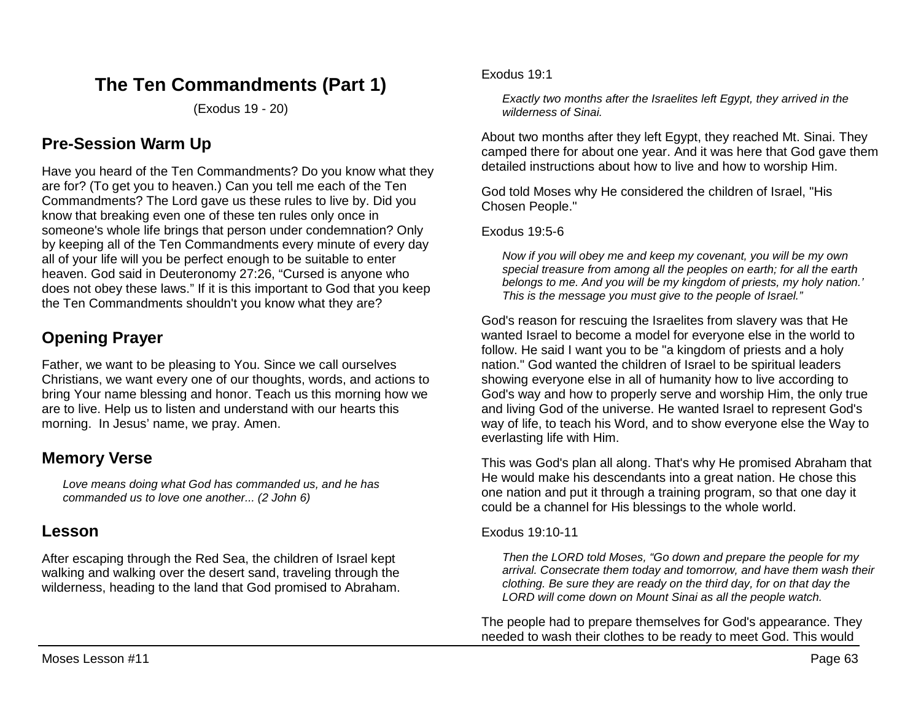# **The Ten Commandments (Part 1)**

(Exodus 19 - 20)

## **Pre-Session Warm Up**

Have you heard of the Ten Commandments? Do you know what they are for? (To get you to heaven.) Can you tell me each of the Ten Commandments? The Lord gave us these rules to live by. Did you know that breaking even one of these ten rules only once in someone's whole life brings that person under condemnation? Only by keeping all of the Ten Commandments every minute of every day all of your life will you be perfect enough to be suitable to enter heaven. God said in Deuteronomy 27:26, "Cursed is anyone who does not obey these laws." If it is this important to God that you keep the Ten Commandments shouldn't you know what they are?

# **Opening Prayer**

Father, we want to be pleasing to You. Since we call ourselves Christians, we want every one of our thoughts, words, and actions to bring Your name blessing and honor. Teach us this morning how we are to live. Help us to listen and understand with our hearts this morning. In Jesus' name, we pray. Amen.

## **Memory Verse**

*Love means doing what God has commanded us, and he has commanded us to love one another... (2 John 6)*

## **Lesson**

After escaping through the Red Sea, the children of Israel kept walking and walking over the desert sand, traveling through the wilderness, heading to the land that God promised to Abraham. Exodus 19:1

*Exactly two months after the Israelites left Egypt, they arrived in the wilderness of Sinai.*

About two months after they left Egypt, they reached Mt. Sinai. They camped there for about one year. And it was here that God gave them detailed instructions about how to live and how to worship Him.

God told Moses why He considered the children of Israel, "His Chosen People."

### Exodus 19:5-6

*Now if you will obey me and keep my covenant, you will be my own special treasure from among all the peoples on earth; for all the earth belongs to me. And you will be my kingdom of priests, my holy nation.' This is the message you must give to the people of Israel."* 

God's reason for rescuing the Israelites from slavery was that He wanted Israel to become a model for everyone else in the world to follow. He said I want you to be "a kingdom of priests and a holy nation." God wanted the children of Israel to be spiritual leaders showing everyone else in all of humanity how to live according to God's way and how to properly serve and worship Him, the only true and living God of the universe. He wanted Israel to represent God's way of life, to teach his Word, and to show everyone else the Way to everlasting life with Him.

This was God's plan all along. That's why He promised Abraham that He would make his descendants into a great nation. He chose this one nation and put it through a training program, so that one day it could be a channel for His blessings to the whole world.

### Exodus 19:10-11

*Then the LORD told Moses, "Go down and prepare the people for my arrival. Consecrate them today and tomorrow, and have them wash their clothing. Be sure they are ready on the third day, for on that day the LORD will come down on Mount Sinai as all the people watch.* 

The people had to prepare themselves for God's appearance. They needed to wash their clothes to be ready to meet God. This would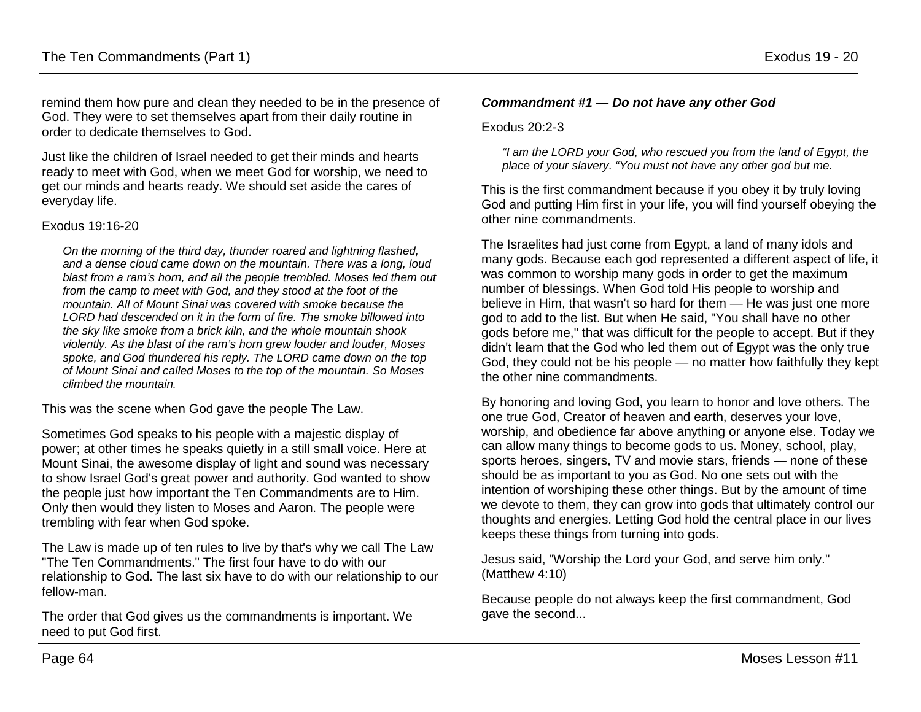remind them how pure and clean they needed to be in the presence of God. They were to set themselves apart from their daily routine in order to dedicate themselves to God.

Just like the children of Israel needed to get their minds and hearts ready to meet with God, when we meet God for worship, we need to get our minds and hearts ready. We should set aside the cares of everyday life.

#### Exodus 19:16-20

*On the morning of the third day, thunder roared and lightning flashed, and a dense cloud came down on the mountain. There was a long, loud blast from a ram's horn, and all the people trembled. Moses led them out from the camp to meet with God, and they stood at the foot of the mountain. All of Mount Sinai was covered with smoke because the LORD had descended on it in the form of fire. The smoke billowed into the sky like smoke from a brick kiln, and the whole mountain shook violently. As the blast of the ram's horn grew louder and louder, Moses spoke, and God thundered his reply. The LORD came down on the top of Mount Sinai and called Moses to the top of the mountain. So Moses climbed the mountain.* 

This was the scene when God gave the people The Law.

Sometimes God speaks to his people with a majestic display of power; at other times he speaks quietly in a still small voice. Here at Mount Sinai, the awesome display of light and sound was necessary to show Israel God's great power and authority. God wanted to show the people just how important the Ten Commandments are to Him. Only then would they listen to Moses and Aaron. The people were trembling with fear when God spoke.

The Law is made up of ten rules to live by that's why we call The Law "The Ten Commandments." The first four have to do with our relationship to God. The last six have to do with our relationship to our fellow-man.

The order that God gives us the commandments is important. We need to put God first.

#### *Commandment #1 — Do not have any other God*

#### Exodus 20:2-3

*"I am the LORD your God, who rescued you from the land of Egypt, the place of your slavery. "You must not have any other god but me.* 

This is the first commandment because if you obey it by truly loving God and putting Him first in your life, you will find yourself obeying the other nine commandments.

The Israelites had just come from Egypt, a land of many idols and many gods. Because each god represented a different aspect of life, it was common to worship many gods in order to get the maximum number of blessings. When God told His people to worship and believe in Him, that wasn't so hard for them — He was just one more god to add to the list. But when He said, "You shall have no other gods before me," that was difficult for the people to accept. But if they didn't learn that the God who led them out of Egypt was the only true God, they could not be his people — no matter how faithfully they kept the other nine commandments.

By honoring and loving God, you learn to honor and love others. The one true God, Creator of heaven and earth, deserves your love, worship, and obedience far above anything or anyone else. Today we can allow many things to become gods to us. Money, school, play, sports heroes, singers, TV and movie stars, friends — none of these should be as important to you as God. No one sets out with the intention of worshiping these other things. But by the amount of time we devote to them, they can grow into gods that ultimately control our thoughts and energies. Letting God hold the central place in our lives keeps these things from turning into gods.

Jesus said, "Worship the Lord your God, and serve him only." (Matthew 4:10)

Because people do not always keep the first commandment, God gave the second...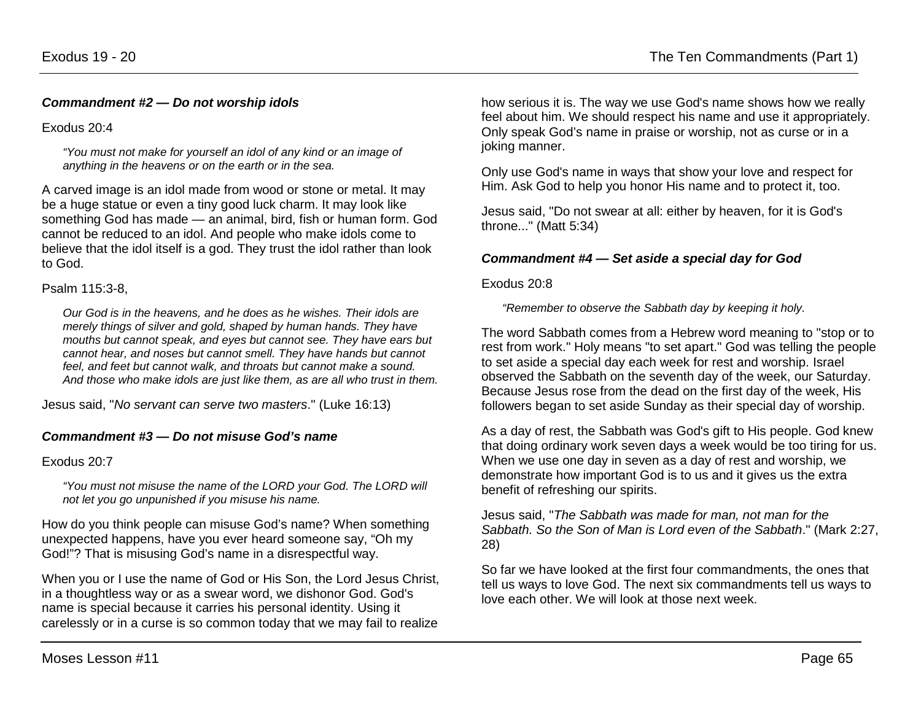Exodus 20:4

*"You must not make for yourself an idol of any kind or an image of anything in the heavens or on the earth or in the sea.*

A carved image is an idol made from wood or stone or metal. It may be a huge statue or even a tiny good luck charm. It may look like something God has made — an animal, bird, fish or human form. God cannot be reduced to an idol. And people who make idols come to believe that the idol itself is a god. They trust the idol rather than look to God.

#### Psalm 115:3-8,

*Our God is in the heavens, and he does as he wishes. Their idols are merely things of silver and gold, shaped by human hands. They have mouths but cannot speak, and eyes but cannot see. They have ears but cannot hear, and noses but cannot smell. They have hands but cannot feel, and feet but cannot walk, and throats but cannot make a sound. And those who make idols are just like them, as are all who trust in them.* 

Jesus said, "*No servant can serve two masters*." (Luke 16:13)

### *Commandment #3 — Do not misuse God's name*

#### Exodus 20:7

*"You must not misuse the name of the LORD your God. The LORD will not let you go unpunished if you misuse his name.*

How do you think people can misuse God's name? When something unexpected happens, have you ever heard someone say, "Oh my God!"? That is misusing God's name in a disrespectful way.

When you or I use the name of God or His Son, the Lord Jesus Christ, in a thoughtless way or as a swear word, we dishonor God. God's name is special because it carries his personal identity. Using it carelessly or in a curse is so common today that we may fail to realize

how serious it is. The way we use God's name shows how we really feel about him. We should respect his name and use it appropriately. Only speak God's name in praise or worship, not as curse or in a joking manner.

Only use God's name in ways that show your love and respect for Him. Ask God to help you honor His name and to protect it, too.

Jesus said, "Do not swear at all: either by heaven, for it is God's throne..." (Matt 5:34)

### *Commandment #4 — Set aside a special day for God*

#### Exodus 20:8

*"Remember to observe the Sabbath day by keeping it holy.*

The word Sabbath comes from a Hebrew word meaning to "stop or to rest from work." Holy means "to set apart." God was telling the people to set aside a special day each week for rest and worship. Israel observed the Sabbath on the seventh day of the week, our Saturday. Because Jesus rose from the dead on the first day of the week, His followers began to set aside Sunday as their special day of worship.

As a day of rest, the Sabbath was God's gift to His people. God knew that doing ordinary work seven days a week would be too tiring for us. When we use one day in seven as a day of rest and worship, we demonstrate how important God is to us and it gives us the extra benefit of refreshing our spirits.

Jesus said, "*The Sabbath was made for man, not man for the Sabbath. So the Son of Man is Lord even of the Sabbath*." (Mark 2:27, 28)

So far we have looked at the first four commandments, the ones that tell us ways to love God. The next six commandments tell us ways to love each other. We will look at those next week.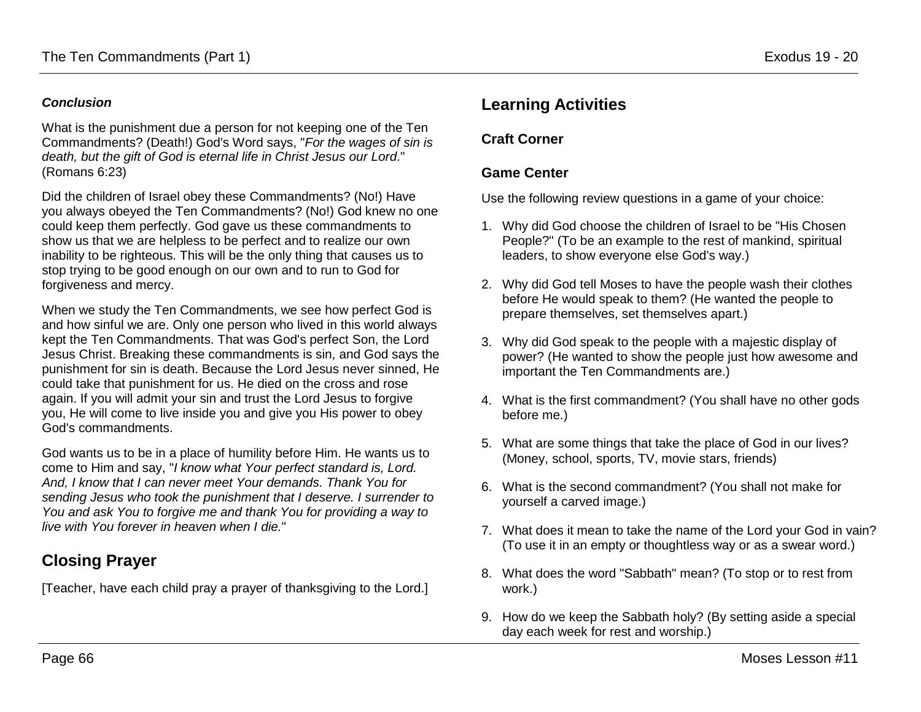### *Conclusion*

What is the punishment due a person for not keeping one of the Ten Commandments? (Death!) God's Word says, "*For the wages of sin is death, but the gift of God is eternal life in Christ Jesus our Lord*." (Romans 6:23)

Did the children of Israel obey these Commandments? (No!) Have you always obeyed the Ten Commandments? (No!) God knew no one could keep them perfectly. God gave us these commandments to show us that we are helpless to be perfect and to realize our own inability to be righteous. This will be the only thing that causes us to stop trying to be good enough on our own and to run to God for forgiveness and mercy.

When we study the Ten Commandments, we see how perfect God is and how sinful we are. Only one person who lived in this world always kept the Ten Commandments. That was God's perfect Son, the Lord Jesus Christ. Breaking these commandments is sin, and God says the punishment for sin is death. Because the Lord Jesus never sinned, He could take that punishment for us. He died on the cross and rose again. If you will admit your sin and trust the Lord Jesus to forgive you, He will come to live inside you and give you His power to obey God's commandments.

God wants us to be in a place of humility before Him. He wants us to come to Him and say, "*I know what Your perfect standard is, Lord. And, I know that I can never meet Your demands. Thank You for sending Jesus who took the punishment that I deserve. I surrender to You and ask You to forgive me and thank You for providing a way to live with You forever in heaven when I die.*"

# **Closing Prayer**

[Teacher, have each child pray a prayer of thanksgiving to the Lord.]

# **Learning Activities**

### **Craft Corner**

## **Game Center**

Use the following review questions in a game of your choice:

- 1. Why did God choose the children of Israel to be "His Chosen People?" (To be an example to the rest of mankind, spiritual leaders, to show everyone else God's way.)
- 2. Why did God tell Moses to have the people wash their clothes before He would speak to them? (He wanted the people to prepare themselves, set themselves apart.)
- 3. Why did God speak to the people with a majestic display of power? (He wanted to show the people just how awesome and important the Ten Commandments are.)
- 4. What is the first commandment? (You shall have no other gods before me.)
- 5. What are some things that take the place of God in our lives? (Money, school, sports, TV, movie stars, friends)
- 6. What is the second commandment? (You shall not make for yourself a carved image.)
- 7. What does it mean to take the name of the Lord your God in vain? (To use it in an empty or thoughtless way or as a swear word.)
- 8. What does the word "Sabbath" mean? (To stop or to rest from work.)
- 9. How do we keep the Sabbath holy? (By setting aside a special day each week for rest and worship.)